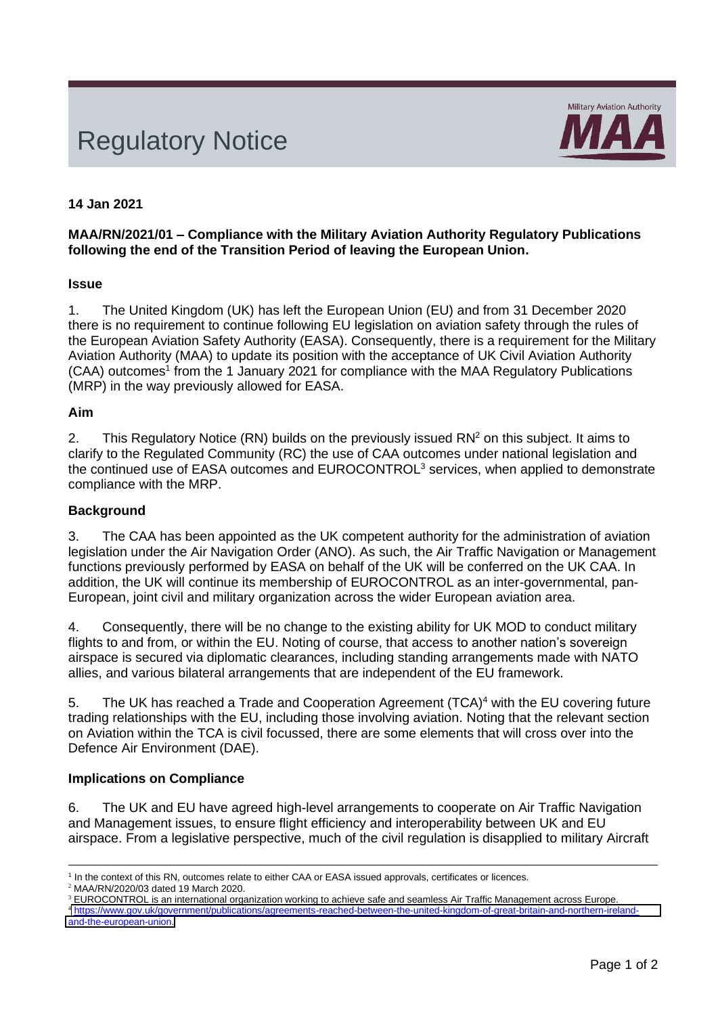# Regulatory Notice



# **14 Jan 2021**

#### **MAA/RN/2021/01 – Compliance with the Military Aviation Authority Regulatory Publications following the end of the Transition Period of leaving the European Union.**

#### **Issue**

1. The United Kingdom (UK) has left the European Union (EU) and from 31 December 2020 there is no requirement to continue following EU legislation on aviation safety through the rules of the European Aviation Safety Authority (EASA). Consequently, there is a requirement for the Military Aviation Authority (MAA) to update its position with the acceptance of UK Civil Aviation Authority (CAA) outcomes<sup>1</sup> from the 1 January 2021 for compliance with the MAA Regulatory Publications (MRP) in the way previously allowed for EASA.

#### **Aim**

2. This Regulatory Notice (RN) builds on the previously issued RN<sup>2</sup> on this subject. It aims to clarify to the Regulated Community (RC) the use of CAA outcomes under national legislation and the continued use of EASA outcomes and EUROCONTROL<sup>3</sup> services, when applied to demonstrate compliance with the MRP.

### **Background**

3. The CAA has been appointed as the UK competent authority for the administration of aviation legislation under the Air Navigation Order (ANO). As such, the Air Traffic Navigation or Management functions previously performed by EASA on behalf of the UK will be conferred on the UK CAA. In addition, the UK will continue its membership of EUROCONTROL as an inter-governmental, pan-European, joint civil and military organization across the wider European aviation area.

4. Consequently, there will be no change to the existing ability for UK MOD to conduct military flights to and from, or within the EU. Noting of course, that access to another nation's sovereign airspace is secured via diplomatic clearances, including standing arrangements made with NATO allies, and various bilateral arrangements that are independent of the EU framework.

5. The UK has reached a Trade and Cooperation Agreement (TCA)<sup>4</sup> with the EU covering future trading relationships with the EU, including those involving aviation. Noting that the relevant section on Aviation within the TCA is civil focussed, there are some elements that will cross over into the Defence Air Environment (DAE).

#### **Implications on Compliance**

6. The UK and EU have agreed high-level arrangements to cooperate on Air Traffic Navigation and Management issues, to ensure flight efficiency and interoperability between UK and EU airspace. From a legislative perspective, much of the civil regulation is disapplied to military Aircraft

<sup>&</sup>lt;sup>1</sup> In the context of this RN, outcomes relate to either CAA or EASA issued approvals, certificates or licences.

<sup>2</sup> MAA/RN/2020/03 dated 19 March 2020.

<sup>&</sup>lt;sup>3</sup> EUROCONTROL is an international organization working to achieve safe and seamless Air Traffic Management across Europe.

<sup>4</sup> [https://www.gov.uk/government/publications/agreements-reached-between-the-united-kingdom-of-great-britain-and-northern-ireland](https://www.gov.uk/government/publications/agreements-reached-between-the-united-kingdom-of-great-britain-and-northern-ireland-and-the-european-union)[and-the-european-union.](https://www.gov.uk/government/publications/agreements-reached-between-the-united-kingdom-of-great-britain-and-northern-ireland-and-the-european-union)